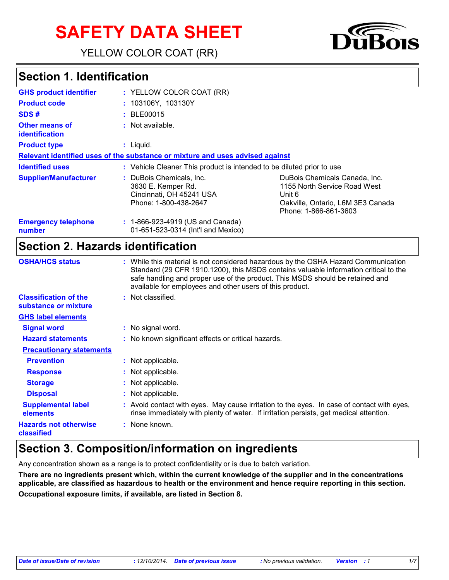# **SAFETY DATA SHEET**

YELLOW COLOR COAT (RR)



### **Section 1. Identification**

| <b>GHS product identifier</b>                  | : YELLOW COLOR COAT (RR)                                                                            |                                                                                                                                       |
|------------------------------------------------|-----------------------------------------------------------------------------------------------------|---------------------------------------------------------------------------------------------------------------------------------------|
| <b>Product code</b>                            | : 103106Y, 103130Y                                                                                  |                                                                                                                                       |
| SDS#                                           | : BLE00015                                                                                          |                                                                                                                                       |
| <b>Other means of</b><br><i>identification</i> | : Not available.                                                                                    |                                                                                                                                       |
| <b>Product type</b>                            | : Liquid.                                                                                           |                                                                                                                                       |
|                                                | Relevant identified uses of the substance or mixture and uses advised against                       |                                                                                                                                       |
| <b>Identified uses</b>                         | : Vehicle Cleaner This product is intended to be diluted prior to use                               |                                                                                                                                       |
| <b>Supplier/Manufacturer</b>                   | : DuBois Chemicals, Inc.<br>3630 E. Kemper Rd.<br>Cincinnati, OH 45241 USA<br>Phone: 1-800-438-2647 | DuBois Chemicals Canada, Inc.<br>1155 North Service Road West<br>Unit 6<br>Oakville, Ontario, L6M 3E3 Canada<br>Phone: 1-866-861-3603 |
| <b>Emergency telephone</b><br>number           | : 1-866-923-4919 (US and Canada)<br>01-651-523-0314 (Int'l and Mexico)                              |                                                                                                                                       |

#### **Section 2. Hazards identification**

| <b>OSHA/HCS status</b>                               | : While this material is not considered hazardous by the OSHA Hazard Communication<br>Standard (29 CFR 1910.1200), this MSDS contains valuable information critical to the<br>safe handling and proper use of the product. This MSDS should be retained and<br>available for employees and other users of this product. |
|------------------------------------------------------|-------------------------------------------------------------------------------------------------------------------------------------------------------------------------------------------------------------------------------------------------------------------------------------------------------------------------|
| <b>Classification of the</b><br>substance or mixture | : Not classified.                                                                                                                                                                                                                                                                                                       |
| <b>GHS label elements</b>                            |                                                                                                                                                                                                                                                                                                                         |
| <b>Signal word</b>                                   | : No signal word.                                                                                                                                                                                                                                                                                                       |
| <b>Hazard statements</b>                             | : No known significant effects or critical hazards.                                                                                                                                                                                                                                                                     |
| <b>Precautionary statements</b>                      |                                                                                                                                                                                                                                                                                                                         |
| <b>Prevention</b>                                    | : Not applicable.                                                                                                                                                                                                                                                                                                       |
| <b>Response</b>                                      | : Not applicable.                                                                                                                                                                                                                                                                                                       |
| <b>Storage</b>                                       | : Not applicable.                                                                                                                                                                                                                                                                                                       |
| <b>Disposal</b>                                      | : Not applicable.                                                                                                                                                                                                                                                                                                       |
| <b>Supplemental label</b><br>elements                | : Avoid contact with eyes. May cause irritation to the eyes. In case of contact with eyes,<br>rinse immediately with plenty of water. If irritation persists, get medical attention.                                                                                                                                    |
| <b>Hazards not otherwise</b><br>classified           | : None known.                                                                                                                                                                                                                                                                                                           |

### **Section 3. Composition/information on ingredients**

Any concentration shown as a range is to protect confidentiality or is due to batch variation.

**There are no ingredients present which, within the current knowledge of the supplier and in the concentrations applicable, are classified as hazardous to health or the environment and hence require reporting in this section. Occupational exposure limits, if available, are listed in Section 8.**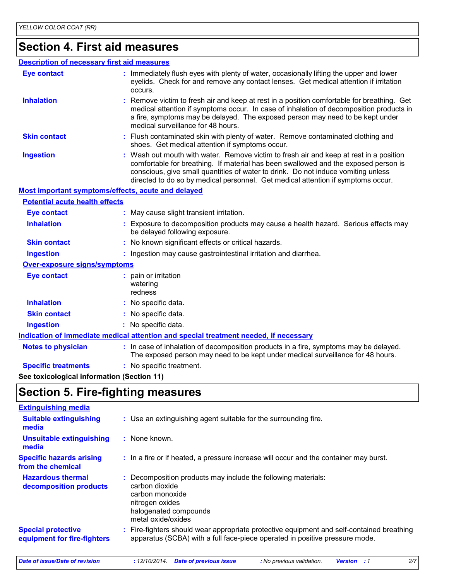# **Section 4. First aid measures**

#### **Description of necessary first aid measures**

| <b>Eye contact</b>                                 | : Immediately flush eyes with plenty of water, occasionally lifting the upper and lower<br>eyelids. Check for and remove any contact lenses. Get medical attention if irritation<br>occurs.                                                                                                                                                            |
|----------------------------------------------------|--------------------------------------------------------------------------------------------------------------------------------------------------------------------------------------------------------------------------------------------------------------------------------------------------------------------------------------------------------|
| <b>Inhalation</b>                                  | : Remove victim to fresh air and keep at rest in a position comfortable for breathing. Get<br>medical attention if symptoms occur. In case of inhalation of decomposition products in<br>a fire, symptoms may be delayed. The exposed person may need to be kept under<br>medical surveillance for 48 hours.                                           |
| <b>Skin contact</b>                                | : Flush contaminated skin with plenty of water. Remove contaminated clothing and<br>shoes. Get medical attention if symptoms occur.                                                                                                                                                                                                                    |
| <b>Ingestion</b>                                   | : Wash out mouth with water. Remove victim to fresh air and keep at rest in a position<br>comfortable for breathing. If material has been swallowed and the exposed person is<br>conscious, give small quantities of water to drink. Do not induce vomiting unless<br>directed to do so by medical personnel. Get medical attention if symptoms occur. |
| Most important symptoms/effects, acute and delayed |                                                                                                                                                                                                                                                                                                                                                        |
| <b>Potential acute health effects</b>              |                                                                                                                                                                                                                                                                                                                                                        |
| <b>Eye contact</b>                                 | : May cause slight transient irritation.                                                                                                                                                                                                                                                                                                               |
| <b>Inhalation</b>                                  | : Exposure to decomposition products may cause a health hazard. Serious effects may<br>be delayed following exposure.                                                                                                                                                                                                                                  |
| <b>Skin contact</b>                                | : No known significant effects or critical hazards.                                                                                                                                                                                                                                                                                                    |
| <b>Ingestion</b>                                   | : Ingestion may cause gastrointestinal irritation and diarrhea.                                                                                                                                                                                                                                                                                        |
| Over-exposure signs/symptoms                       |                                                                                                                                                                                                                                                                                                                                                        |
| <b>Eye contact</b>                                 | : pain or irritation<br>watering<br>redness                                                                                                                                                                                                                                                                                                            |
| <b>Inhalation</b>                                  | : No specific data.                                                                                                                                                                                                                                                                                                                                    |
| <b>Skin contact</b>                                | : No specific data.                                                                                                                                                                                                                                                                                                                                    |
| <b>Ingestion</b>                                   | : No specific data.                                                                                                                                                                                                                                                                                                                                    |
|                                                    | Indication of immediate medical attention and special treatment needed, if necessary                                                                                                                                                                                                                                                                   |
| <b>Notes to physician</b>                          | : In case of inhalation of decomposition products in a fire, symptoms may be delayed.<br>The exposed person may need to be kept under medical surveillance for 48 hours.                                                                                                                                                                               |
| <b>Specific treatments</b>                         | : No specific treatment.                                                                                                                                                                                                                                                                                                                               |

**See toxicological information (Section 11)**

### **Section 5. Fire-fighting measures**

| <b>Extinguishing media</b>                               |                                                                                                                                                                        |
|----------------------------------------------------------|------------------------------------------------------------------------------------------------------------------------------------------------------------------------|
| <b>Suitable extinguishing</b><br>media                   | : Use an extinguishing agent suitable for the surrounding fire.                                                                                                        |
| <b>Unsuitable extinguishing</b><br>media                 | : None known.                                                                                                                                                          |
| <b>Specific hazards arising</b><br>from the chemical     | : In a fire or if heated, a pressure increase will occur and the container may burst.                                                                                  |
| <b>Hazardous thermal</b><br>decomposition products       | Decomposition products may include the following materials:<br>carbon dioxide<br>carbon monoxide<br>nitrogen oxides<br>halogenated compounds<br>metal oxide/oxides     |
| <b>Special protective</b><br>equipment for fire-fighters | Fire-fighters should wear appropriate protective equipment and self-contained breathing<br>apparatus (SCBA) with a full face-piece operated in positive pressure mode. |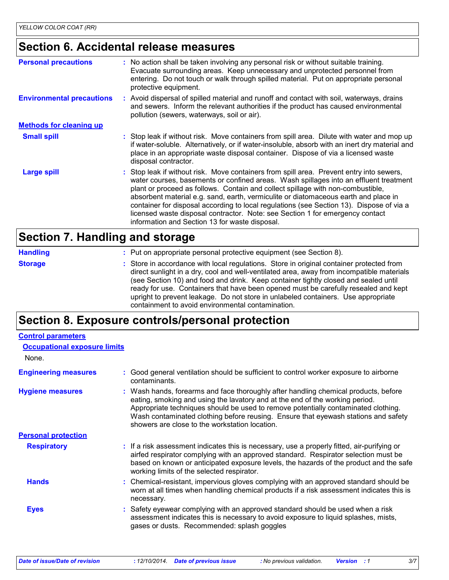# **Section 6. Accidental release measures**

| <b>Personal precautions</b>      | : No action shall be taken involving any personal risk or without suitable training.<br>Evacuate surrounding areas. Keep unnecessary and unprotected personnel from<br>entering. Do not touch or walk through spilled material. Put on appropriate personal<br>protective equipment.                                                                                                                                                                                                                                                                                                       |
|----------------------------------|--------------------------------------------------------------------------------------------------------------------------------------------------------------------------------------------------------------------------------------------------------------------------------------------------------------------------------------------------------------------------------------------------------------------------------------------------------------------------------------------------------------------------------------------------------------------------------------------|
| <b>Environmental precautions</b> | : Avoid dispersal of spilled material and runoff and contact with soil, waterways, drains<br>and sewers. Inform the relevant authorities if the product has caused environmental<br>pollution (sewers, waterways, soil or air).                                                                                                                                                                                                                                                                                                                                                            |
| <b>Methods for cleaning up</b>   |                                                                                                                                                                                                                                                                                                                                                                                                                                                                                                                                                                                            |
| <b>Small spill</b>               | : Stop leak if without risk. Move containers from spill area. Dilute with water and mop up<br>if water-soluble. Alternatively, or if water-insoluble, absorb with an inert dry material and<br>place in an appropriate waste disposal container. Dispose of via a licensed waste<br>disposal contractor.                                                                                                                                                                                                                                                                                   |
| Large spill                      | : Stop leak if without risk. Move containers from spill area. Prevent entry into sewers,<br>water courses, basements or confined areas. Wash spillages into an effluent treatment<br>plant or proceed as follows. Contain and collect spillage with non-combustible,<br>absorbent material e.g. sand, earth, vermiculite or diatomaceous earth and place in<br>container for disposal according to local regulations (see Section 13). Dispose of via a<br>licensed waste disposal contractor. Note: see Section 1 for emergency contact<br>information and Section 13 for waste disposal. |

#### **Section 7. Handling and storage**

| <b>Handling</b> | : Put on appropriate personal protective equipment (see Section 8).                                                                                                                                                                                                                                                                                                                                                                                                                                           |
|-----------------|---------------------------------------------------------------------------------------------------------------------------------------------------------------------------------------------------------------------------------------------------------------------------------------------------------------------------------------------------------------------------------------------------------------------------------------------------------------------------------------------------------------|
| <b>Storage</b>  | : Store in accordance with local regulations. Store in original container protected from<br>direct sunlight in a dry, cool and well-ventilated area, away from incompatible materials<br>(see Section 10) and food and drink. Keep container tightly closed and sealed until<br>ready for use. Containers that have been opened must be carefully resealed and kept<br>upright to prevent leakage. Do not store in unlabeled containers. Use appropriate<br>containment to avoid environmental contamination. |

### **Section 8. Exposure controls/personal protection**

| <b>Occupational exposure limits</b>                                                                                                                                                                                                                                                                                                                                                               |
|---------------------------------------------------------------------------------------------------------------------------------------------------------------------------------------------------------------------------------------------------------------------------------------------------------------------------------------------------------------------------------------------------|
|                                                                                                                                                                                                                                                                                                                                                                                                   |
| Good general ventilation should be sufficient to control worker exposure to airborne<br>contaminants.                                                                                                                                                                                                                                                                                             |
| : Wash hands, forearms and face thoroughly after handling chemical products, before<br>eating, smoking and using the lavatory and at the end of the working period.<br>Appropriate techniques should be used to remove potentially contaminated clothing.<br>Wash contaminated clothing before reusing. Ensure that eyewash stations and safety<br>showers are close to the workstation location. |
|                                                                                                                                                                                                                                                                                                                                                                                                   |
| : If a risk assessment indicates this is necessary, use a properly fitted, air-purifying or<br>airfed respirator complying with an approved standard. Respirator selection must be<br>based on known or anticipated exposure levels, the hazards of the product and the safe<br>working limits of the selected respirator.                                                                        |
| : Chemical-resistant, impervious gloves complying with an approved standard should be<br>worn at all times when handling chemical products if a risk assessment indicates this is<br>necessary.                                                                                                                                                                                                   |
| : Safety eyewear complying with an approved standard should be used when a risk<br>assessment indicates this is necessary to avoid exposure to liquid splashes, mists,<br>gases or dusts. Recommended: splash goggles                                                                                                                                                                             |
|                                                                                                                                                                                                                                                                                                                                                                                                   |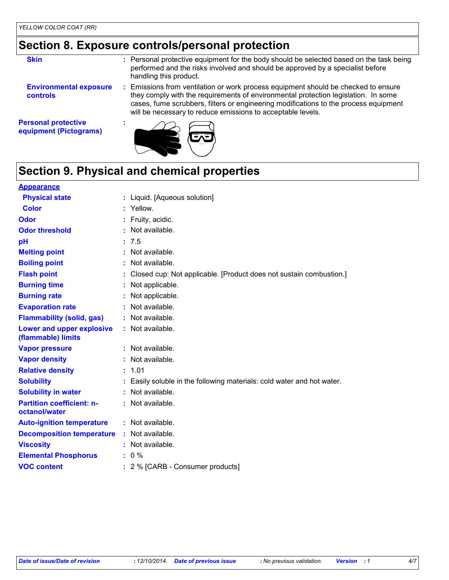### **Section 8. Exposure controls/personal protection**

| <b>Skin</b>                                          | : Personal protective equipment for the body should be selected based on the task being<br>performed and the risks involved and should be approved by a specialist before<br>handling this product.                                                                                                                           |
|------------------------------------------------------|-------------------------------------------------------------------------------------------------------------------------------------------------------------------------------------------------------------------------------------------------------------------------------------------------------------------------------|
| <b>Environmental exposure</b><br><b>controls</b>     | Emissions from ventilation or work process equipment should be checked to ensure<br>they comply with the requirements of environmental protection legislation. In some<br>cases, fume scrubbers, filters or engineering modifications to the process equipment<br>will be necessary to reduce emissions to acceptable levels. |
| <b>Personal protective</b><br>equipment (Pictograms) |                                                                                                                                                                                                                                                                                                                               |



# **Section 9. Physical and chemical properties**

| <b>Appearance</b>                                      |    |                                                                      |
|--------------------------------------------------------|----|----------------------------------------------------------------------|
| <b>Physical state</b>                                  |    | : Liquid. [Aqueous solution]                                         |
| <b>Color</b>                                           |    | : Yellow.                                                            |
| Odor                                                   |    | Fruity, acidic.                                                      |
| <b>Odor threshold</b>                                  |    | Not available.                                                       |
| рH                                                     |    | : 7.5                                                                |
| <b>Melting point</b>                                   | t. | Not available.                                                       |
| <b>Boiling point</b>                                   |    | Not available.                                                       |
| <b>Flash point</b>                                     |    | Closed cup: Not applicable. [Product does not sustain combustion.]   |
| <b>Burning time</b>                                    |    | : Not applicable.                                                    |
| <b>Burning rate</b>                                    |    | Not applicable.                                                      |
| <b>Evaporation rate</b>                                |    | Not available.                                                       |
| <b>Flammability (solid, gas)</b>                       |    | $:$ Not available.                                                   |
| <b>Lower and upper explosive</b><br>(flammable) limits |    | : Not available.                                                     |
| <b>Vapor pressure</b>                                  |    | : Not available.                                                     |
| <b>Vapor density</b>                                   |    | : Not available.                                                     |
| <b>Relative density</b>                                |    | : 1.01                                                               |
| <b>Solubility</b>                                      |    | Easily soluble in the following materials: cold water and hot water. |
| <b>Solubility in water</b>                             |    | $:$ Not available.                                                   |
| <b>Partition coefficient: n-</b><br>octanol/water      |    | : Not available.                                                     |
| <b>Auto-ignition temperature</b>                       |    | : Not available.                                                     |
| <b>Decomposition temperature</b>                       |    | : Not available.                                                     |
| <b>Viscosity</b>                                       |    | Not available.                                                       |
| <b>Elemental Phosphorus</b>                            |    | $: 0 \%$                                                             |
| <b>VOC content</b>                                     |    | : 2 % [CARB - Consumer products]                                     |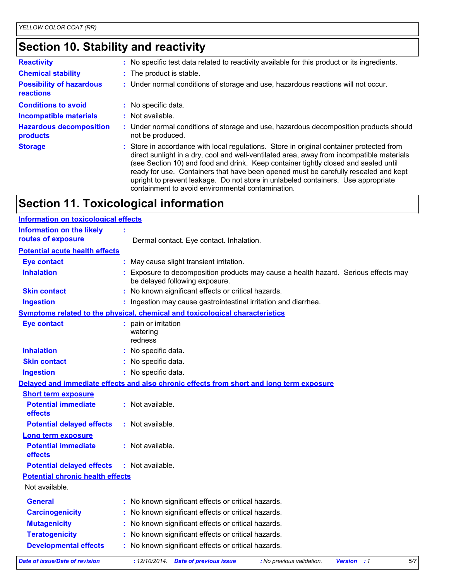# **Section 10. Stability and reactivity**

| <b>Reactivity</b>                            | : No specific test data related to reactivity available for this product or its ingredients.                                                                                                                                                                                                                                                                                                                                                                                                                  |
|----------------------------------------------|---------------------------------------------------------------------------------------------------------------------------------------------------------------------------------------------------------------------------------------------------------------------------------------------------------------------------------------------------------------------------------------------------------------------------------------------------------------------------------------------------------------|
| <b>Chemical stability</b>                    | : The product is stable.                                                                                                                                                                                                                                                                                                                                                                                                                                                                                      |
| <b>Possibility of hazardous</b><br>reactions | : Under normal conditions of storage and use, hazardous reactions will not occur.                                                                                                                                                                                                                                                                                                                                                                                                                             |
| <b>Conditions to avoid</b>                   | : No specific data.                                                                                                                                                                                                                                                                                                                                                                                                                                                                                           |
| <b>Incompatible materials</b>                | $:$ Not available.                                                                                                                                                                                                                                                                                                                                                                                                                                                                                            |
| <b>Hazardous decomposition</b><br>products   | : Under normal conditions of storage and use, hazardous decomposition products should<br>not be produced.                                                                                                                                                                                                                                                                                                                                                                                                     |
| <b>Storage</b>                               | : Store in accordance with local regulations. Store in original container protected from<br>direct sunlight in a dry, cool and well-ventilated area, away from incompatible materials<br>(see Section 10) and food and drink. Keep container tightly closed and sealed until<br>ready for use. Containers that have been opened must be carefully resealed and kept<br>upright to prevent leakage. Do not store in unlabeled containers. Use appropriate<br>containment to avoid environmental contamination. |

# **Section 11. Toxicological information**

| <b>Information on toxicological effects</b>  |                                                                                                                     |
|----------------------------------------------|---------------------------------------------------------------------------------------------------------------------|
| <b>Information on the likely</b>             |                                                                                                                     |
| routes of exposure                           | Dermal contact. Eye contact. Inhalation.                                                                            |
| <b>Potential acute health effects</b>        |                                                                                                                     |
| <b>Eye contact</b>                           | May cause slight transient irritation.                                                                              |
| <b>Inhalation</b>                            | Exposure to decomposition products may cause a health hazard. Serious effects may<br>be delayed following exposure. |
| <b>Skin contact</b>                          | : No known significant effects or critical hazards.                                                                 |
| <b>Ingestion</b>                             | : Ingestion may cause gastrointestinal irritation and diarrhea.                                                     |
|                                              | Symptoms related to the physical, chemical and toxicological characteristics                                        |
| <b>Eye contact</b>                           | pain or irritation<br>watering<br>redness                                                                           |
| <b>Inhalation</b>                            | No specific data.                                                                                                   |
| <b>Skin contact</b>                          | : No specific data.                                                                                                 |
| <b>Ingestion</b>                             | : No specific data.                                                                                                 |
|                                              | Delayed and immediate effects and also chronic effects from short and long term exposure                            |
| <b>Short term exposure</b>                   |                                                                                                                     |
| <b>Potential immediate</b><br>effects        | : Not available.                                                                                                    |
| <b>Potential delayed effects</b>             | : Not available.                                                                                                    |
| <b>Long term exposure</b>                    |                                                                                                                     |
| <b>Potential immediate</b><br><b>effects</b> | : Not available.                                                                                                    |
| <b>Potential delayed effects</b>             | $:$ Not available.                                                                                                  |
| <b>Potential chronic health effects</b>      |                                                                                                                     |
| Not available.                               |                                                                                                                     |
| <b>General</b>                               | : No known significant effects or critical hazards.                                                                 |
| <b>Carcinogenicity</b>                       | No known significant effects or critical hazards.                                                                   |
| <b>Mutagenicity</b>                          | No known significant effects or critical hazards.                                                                   |
| <b>Teratogenicity</b>                        | No known significant effects or critical hazards.                                                                   |
| <b>Developmental effects</b>                 | No known significant effects or critical hazards.                                                                   |
| Date of issue/Date of revision               | 5/7<br>: 12/10/2014 Date of previous issue<br><b>Version</b> : 1<br>: No previous validation.                       |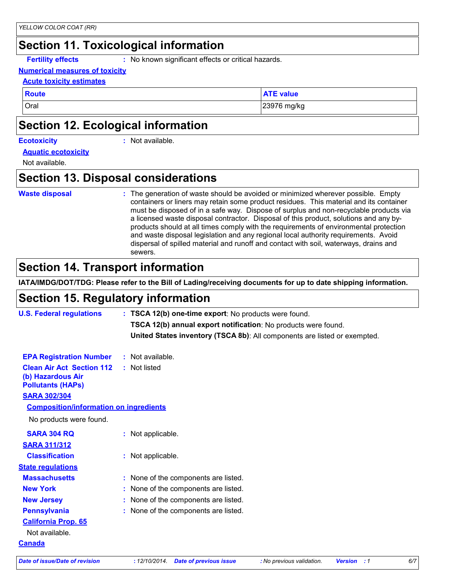# **Section 11. Toxicological information**

**Fertility effects :** No known significant effects or critical hazards.

#### **Numerical measures of toxicity**

#### **Acute toxicity estimates**

**Route ATE value**

Oral 23976 mg/kg

### **Section 12. Ecological information**

#### **Ecotoxicity :**

: Not available.

#### **Aquatic ecotoxicity**

Not available.

#### **Section 13. Disposal considerations**

#### **Waste disposal :**

The generation of waste should be avoided or minimized wherever possible. Empty containers or liners may retain some product residues. This material and its container must be disposed of in a safe way. Dispose of surplus and non-recyclable products via a licensed waste disposal contractor. Disposal of this product, solutions and any byproducts should at all times comply with the requirements of environmental protection and waste disposal legislation and any regional local authority requirements. Avoid dispersal of spilled material and runoff and contact with soil, waterways, drains and sewers.

### **Section 14. Transport information**

**IATA/IMDG/DOT/TDG: Please refer to the Bill of Lading/receiving documents for up to date shipping information.**

#### **Section 15. Regulatory information**

| <b>U.S. Federal regulations</b>                                                   | : TSCA 12(b) one-time export: No products were found.                     |
|-----------------------------------------------------------------------------------|---------------------------------------------------------------------------|
|                                                                                   | TSCA 12(b) annual export notification: No products were found.            |
|                                                                                   | United States inventory (TSCA 8b): All components are listed or exempted. |
| <b>EPA Registration Number</b>                                                    | $:$ Not available.                                                        |
| <b>Clean Air Act Section 112</b><br>(b) Hazardous Air<br><b>Pollutants (HAPS)</b> | : Not listed                                                              |
| <b>SARA 302/304</b>                                                               |                                                                           |
| <b>Composition/information on ingredients</b>                                     |                                                                           |
| No products were found.                                                           |                                                                           |
| <b>SARA 304 RQ</b>                                                                | : Not applicable.                                                         |
| <b>SARA 311/312</b>                                                               |                                                                           |
| <b>Classification</b>                                                             | : Not applicable.                                                         |
| <b>State regulations</b>                                                          |                                                                           |
| <b>Massachusetts</b>                                                              | : None of the components are listed.                                      |
| <b>New York</b>                                                                   | : None of the components are listed.                                      |
| <b>New Jersey</b>                                                                 | : None of the components are listed.                                      |
| <b>Pennsylvania</b>                                                               | : None of the components are listed.                                      |
| <b>California Prop. 65</b>                                                        |                                                                           |
| Not available.                                                                    |                                                                           |
| <b>Canada</b>                                                                     |                                                                           |